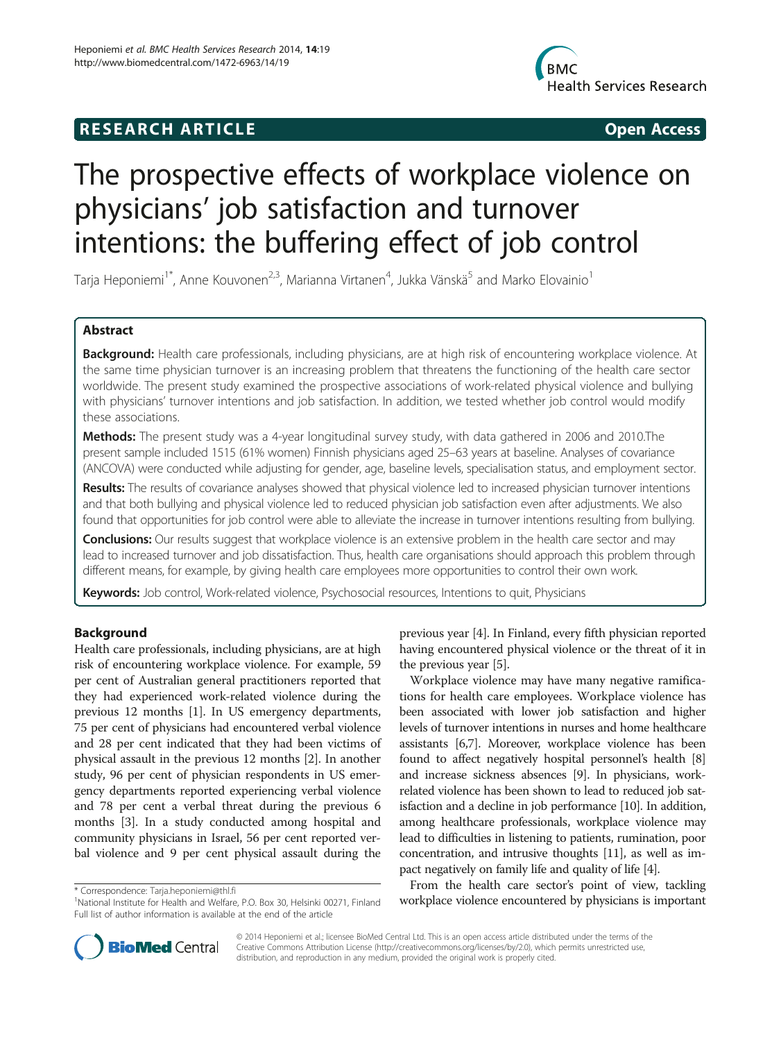# **RESEARCH ARTICLE Example 2014 CONSIDERING CONSIDERING CONSIDERING CONSIDERING CONSIDERING CONSIDERING CONSIDERING CONSIDERING CONSIDERING CONSIDERING CONSIDERING CONSIDERING CONSIDERING CONSIDERING CONSIDERING CONSIDE**



# The prospective effects of workplace violence on physicians' job satisfaction and turnover intentions: the buffering effect of job control

Tarja Heponiemi $^{\text{1*}}$ , Anne Kouvonen $^{2,3}$ , Marianna Virtanen $^4$ , Jukka Vänskä $^5$  and Marko Elovainio $^{\text{1}}$ 

# Abstract

Background: Health care professionals, including physicians, are at high risk of encountering workplace violence. At the same time physician turnover is an increasing problem that threatens the functioning of the health care sector worldwide. The present study examined the prospective associations of work-related physical violence and bullying with physicians' turnover intentions and job satisfaction. In addition, we tested whether job control would modify these associations.

Methods: The present study was a 4-year longitudinal survey study, with data gathered in 2006 and 2010. The present sample included 1515 (61% women) Finnish physicians aged 25–63 years at baseline. Analyses of covariance (ANCOVA) were conducted while adjusting for gender, age, baseline levels, specialisation status, and employment sector.

Results: The results of covariance analyses showed that physical violence led to increased physician turnover intentions and that both bullying and physical violence led to reduced physician job satisfaction even after adjustments. We also found that opportunities for job control were able to alleviate the increase in turnover intentions resulting from bullying.

Conclusions: Our results suggest that workplace violence is an extensive problem in the health care sector and may lead to increased turnover and job dissatisfaction. Thus, health care organisations should approach this problem through different means, for example, by giving health care employees more opportunities to control their own work.

Keywords: Job control, Work-related violence, Psychosocial resources, Intentions to quit, Physicians

# Background

Health care professionals, including physicians, are at high risk of encountering workplace violence. For example, 59 per cent of Australian general practitioners reported that they had experienced work-related violence during the previous 12 months [[1\]](#page-6-0). In US emergency departments, 75 per cent of physicians had encountered verbal violence and 28 per cent indicated that they had been victims of physical assault in the previous 12 months [[2\]](#page-6-0). In another study, 96 per cent of physician respondents in US emergency departments reported experiencing verbal violence and 78 per cent a verbal threat during the previous 6 months [\[3](#page-6-0)]. In a study conducted among hospital and community physicians in Israel, 56 per cent reported verbal violence and 9 per cent physical assault during the

previous year [[4](#page-6-0)]. In Finland, every fifth physician reported having encountered physical violence or the threat of it in the previous year [[5\]](#page-6-0).

Workplace violence may have many negative ramifications for health care employees. Workplace violence has been associated with lower job satisfaction and higher levels of turnover intentions in nurses and home healthcare assistants [\[6,7\]](#page-6-0). Moreover, workplace violence has been found to affect negatively hospital personnel's health [[8](#page-6-0)] and increase sickness absences [\[9\]](#page-6-0). In physicians, workrelated violence has been shown to lead to reduced job satisfaction and a decline in job performance [[10](#page-6-0)]. In addition, among healthcare professionals, workplace violence may lead to difficulties in listening to patients, rumination, poor concentration, and intrusive thoughts [\[11\]](#page-6-0), as well as impact negatively on family life and quality of life [[4\]](#page-6-0).

From the health care sector's point of view, tackling workspondence: [Tarja.heponiemi@thl.fi](mailto:Tarja.heponiemi@thl.fi) encountered by physicians is important \* Correspondence encountered by physicians is important \* 1<br>Inational Institute for Health and Welfare, P.O. Box 30, Helsinki 00271, Finland \* **w** 



© 2014 Heponiemi et al.; licensee BioMed Central Ltd. This is an open access article distributed under the terms of the Creative Commons Attribution License (<http://creativecommons.org/licenses/by/2.0>), which permits unrestricted use, distribution, and reproduction in any medium, provided the original work is properly cited.

<sup>&</sup>lt;sup>1</sup>National Institute for Health and Welfare, P.O. Box 30, Helsinki 00271, Finland Full list of author information is available at the end of the article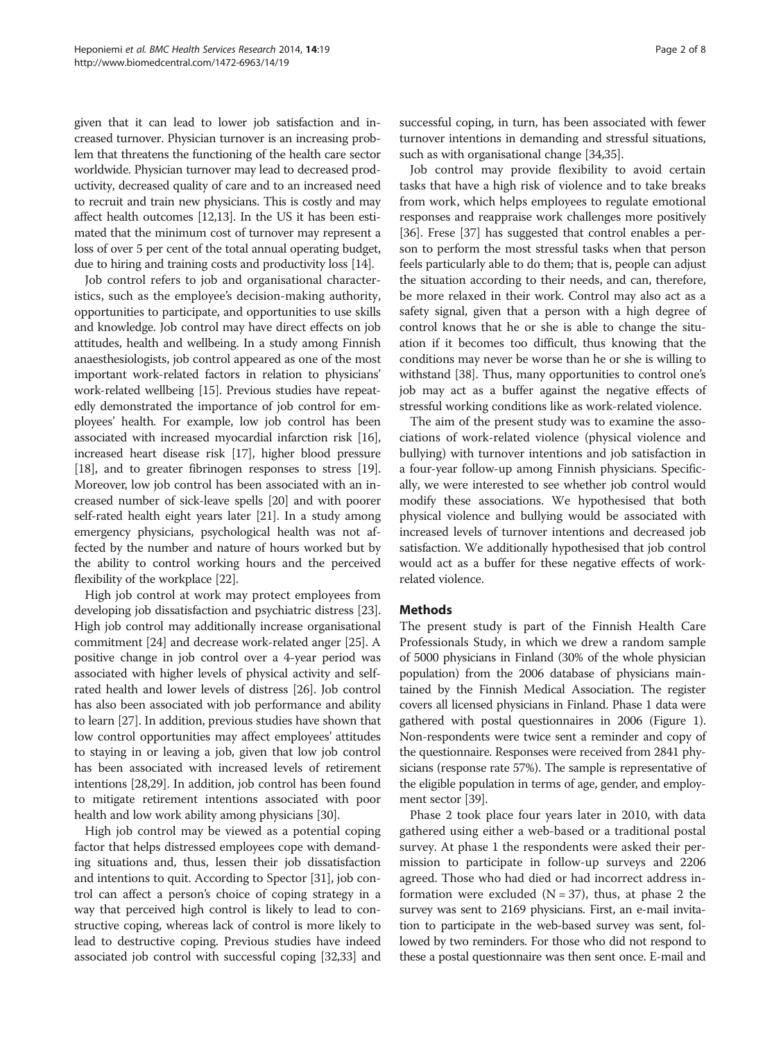given that it can lead to lower job satisfaction and increased turnover. Physician turnover is an increasing problem that threatens the functioning of the health care sector worldwide. Physician turnover may lead to decreased productivity, decreased quality of care and to an increased need to recruit and train new physicians. This is costly and may affect health outcomes [[12,13\]](#page-6-0). In the US it has been estimated that the minimum cost of turnover may represent a loss of over 5 per cent of the total annual operating budget, due to hiring and training costs and productivity loss [\[14](#page-6-0)].

Job control refers to job and organisational characteristics, such as the employee's decision-making authority, opportunities to participate, and opportunities to use skills and knowledge. Job control may have direct effects on job attitudes, health and wellbeing. In a study among Finnish anaesthesiologists, job control appeared as one of the most important work-related factors in relation to physicians' work-related wellbeing [[15](#page-6-0)]. Previous studies have repeatedly demonstrated the importance of job control for employees' health. For example, low job control has been associated with increased myocardial infarction risk [[16](#page-6-0)], increased heart disease risk [[17](#page-6-0)], higher blood pressure [[18](#page-6-0)], and to greater fibrinogen responses to stress [[19](#page-6-0)]. Moreover, low job control has been associated with an increased number of sick-leave spells [\[20](#page-6-0)] and with poorer self-rated health eight years later [\[21\]](#page-6-0). In a study among emergency physicians, psychological health was not affected by the number and nature of hours worked but by the ability to control working hours and the perceived flexibility of the workplace [\[22\]](#page-6-0).

High job control at work may protect employees from developing job dissatisfaction and psychiatric distress [[23](#page-6-0)]. High job control may additionally increase organisational commitment [\[24](#page-6-0)] and decrease work-related anger [\[25\]](#page-6-0). A positive change in job control over a 4-year period was associated with higher levels of physical activity and selfrated health and lower levels of distress [\[26](#page-6-0)]. Job control has also been associated with job performance and ability to learn [\[27\]](#page-6-0). In addition, previous studies have shown that low control opportunities may affect employees' attitudes to staying in or leaving a job, given that low job control has been associated with increased levels of retirement intentions [[28](#page-6-0),[29](#page-6-0)]. In addition, job control has been found to mitigate retirement intentions associated with poor health and low work ability among physicians [[30](#page-6-0)].

High job control may be viewed as a potential coping factor that helps distressed employees cope with demanding situations and, thus, lessen their job dissatisfaction and intentions to quit. According to Spector [[31](#page-6-0)], job control can affect a person's choice of coping strategy in a way that perceived high control is likely to lead to constructive coping, whereas lack of control is more likely to lead to destructive coping. Previous studies have indeed associated job control with successful coping [[32,33\]](#page-6-0) and

successful coping, in turn, has been associated with fewer turnover intentions in demanding and stressful situations, such as with organisational change [\[34,35\]](#page-6-0).

Job control may provide flexibility to avoid certain tasks that have a high risk of violence and to take breaks from work, which helps employees to regulate emotional responses and reappraise work challenges more positively [[36](#page-6-0)]. Frese [[37](#page-6-0)] has suggested that control enables a person to perform the most stressful tasks when that person feels particularly able to do them; that is, people can adjust the situation according to their needs, and can, therefore, be more relaxed in their work. Control may also act as a safety signal, given that a person with a high degree of control knows that he or she is able to change the situation if it becomes too difficult, thus knowing that the conditions may never be worse than he or she is willing to withstand [\[38\]](#page-6-0). Thus, many opportunities to control one's job may act as a buffer against the negative effects of stressful working conditions like as work-related violence.

The aim of the present study was to examine the associations of work-related violence (physical violence and bullying) with turnover intentions and job satisfaction in a four-year follow-up among Finnish physicians. Specifically, we were interested to see whether job control would modify these associations. We hypothesised that both physical violence and bullying would be associated with increased levels of turnover intentions and decreased job satisfaction. We additionally hypothesised that job control would act as a buffer for these negative effects of workrelated violence.

#### **Methods**

The present study is part of the Finnish Health Care Professionals Study, in which we drew a random sample of 5000 physicians in Finland (30% of the whole physician population) from the 2006 database of physicians maintained by the Finnish Medical Association. The register covers all licensed physicians in Finland. Phase 1 data were gathered with postal questionnaires in 2006 (Figure [1](#page-2-0)). Non-respondents were twice sent a reminder and copy of the questionnaire. Responses were received from 2841 physicians (response rate 57%). The sample is representative of the eligible population in terms of age, gender, and employment sector [\[39\]](#page-6-0).

Phase 2 took place four years later in 2010, with data gathered using either a web-based or a traditional postal survey. At phase 1 the respondents were asked their permission to participate in follow-up surveys and 2206 agreed. Those who had died or had incorrect address information were excluded ( $N = 37$ ), thus, at phase 2 the survey was sent to 2169 physicians. First, an e-mail invitation to participate in the web-based survey was sent, followed by two reminders. For those who did not respond to these a postal questionnaire was then sent once. E-mail and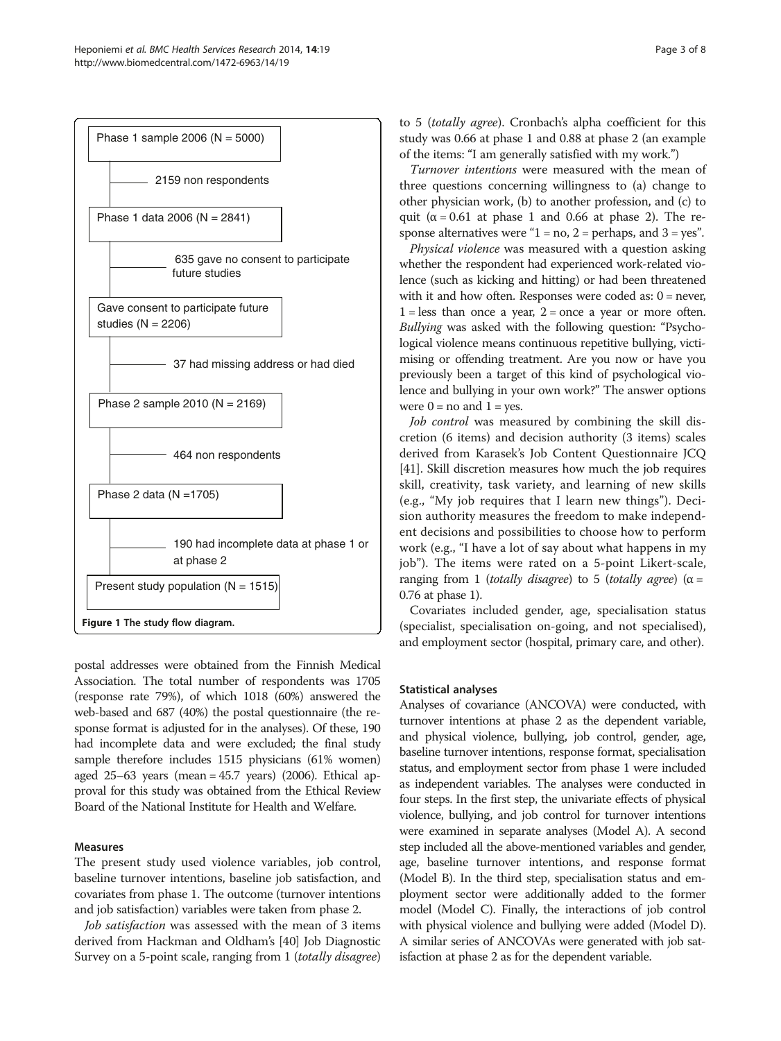<span id="page-2-0"></span>

postal addresses were obtained from the Finnish Medical Association. The total number of respondents was 1705 (response rate 79%), of which 1018 (60%) answered the web-based and 687 (40%) the postal questionnaire (the response format is adjusted for in the analyses). Of these, 190 had incomplete data and were excluded; the final study sample therefore includes 1515 physicians (61% women) aged 25–63 years (mean = 45.7 years) (2006). Ethical approval for this study was obtained from the Ethical Review Board of the National Institute for Health and Welfare.

# Measures

The present study used violence variables, job control, baseline turnover intentions, baseline job satisfaction, and covariates from phase 1. The outcome (turnover intentions and job satisfaction) variables were taken from phase 2.

Job satisfaction was assessed with the mean of 3 items derived from Hackman and Oldham's [[40\]](#page-6-0) Job Diagnostic Survey on a 5-point scale, ranging from 1 (totally disagree) to 5 (totally agree). Cronbach's alpha coefficient for this study was 0.66 at phase 1 and 0.88 at phase 2 (an example of the items: "I am generally satisfied with my work.")

Turnover intentions were measured with the mean of three questions concerning willingness to (a) change to other physician work, (b) to another profession, and (c) to quit ( $\alpha$  = 0.61 at phase 1 and 0.66 at phase 2). The response alternatives were " $1 = no$ ,  $2 = perhaps$ , and  $3 = yes$ ".

Physical violence was measured with a question asking whether the respondent had experienced work-related violence (such as kicking and hitting) or had been threatened with it and how often. Responses were coded as:  $0 =$  never,  $1 =$  less than once a year,  $2 =$  once a year or more often. Bullying was asked with the following question: "Psychological violence means continuous repetitive bullying, victimising or offending treatment. Are you now or have you previously been a target of this kind of psychological violence and bullying in your own work?" The answer options were  $0 =$  no and  $1 =$  yes.

Job control was measured by combining the skill discretion (6 items) and decision authority (3 items) scales derived from Karasek's Job Content Questionnaire JCQ [[41](#page-6-0)]. Skill discretion measures how much the job requires skill, creativity, task variety, and learning of new skills (e.g., "My job requires that I learn new things"). Decision authority measures the freedom to make independent decisions and possibilities to choose how to perform work (e.g., "I have a lot of say about what happens in my job"). The items were rated on a 5-point Likert-scale, ranging from 1 (totally disagree) to 5 (totally agree) ( $\alpha$  = 0.76 at phase 1).

Covariates included gender, age, specialisation status (specialist, specialisation on-going, and not specialised), and employment sector (hospital, primary care, and other).

#### Statistical analyses

Analyses of covariance (ANCOVA) were conducted, with turnover intentions at phase 2 as the dependent variable, and physical violence, bullying, job control, gender, age, baseline turnover intentions, response format, specialisation status, and employment sector from phase 1 were included as independent variables. The analyses were conducted in four steps. In the first step, the univariate effects of physical violence, bullying, and job control for turnover intentions were examined in separate analyses (Model A). A second step included all the above-mentioned variables and gender, age, baseline turnover intentions, and response format (Model B). In the third step, specialisation status and employment sector were additionally added to the former model (Model C). Finally, the interactions of job control with physical violence and bullying were added (Model D). A similar series of ANCOVAs were generated with job satisfaction at phase 2 as for the dependent variable.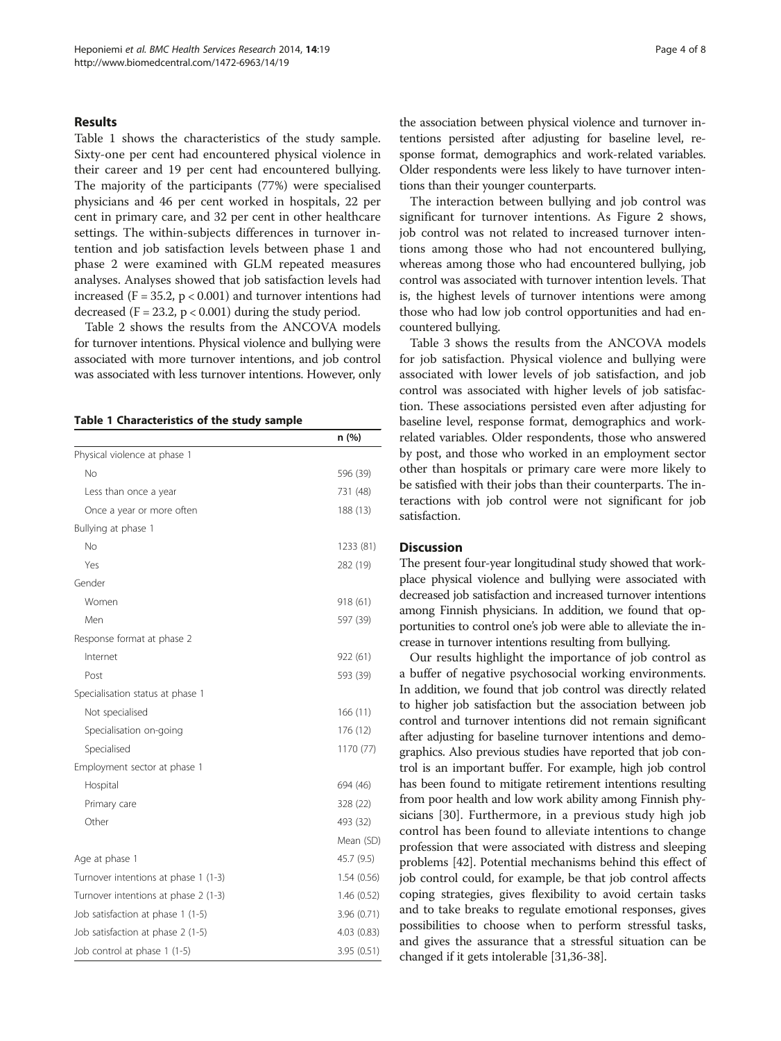### Results

Table 1 shows the characteristics of the study sample. Sixty-one per cent had encountered physical violence in their career and 19 per cent had encountered bullying. The majority of the participants (77%) were specialised physicians and 46 per cent worked in hospitals, 22 per cent in primary care, and 32 per cent in other healthcare settings. The within-subjects differences in turnover intention and job satisfaction levels between phase 1 and phase 2 were examined with GLM repeated measures analyses. Analyses showed that job satisfaction levels had increased ( $F = 35.2$ ,  $p < 0.001$ ) and turnover intentions had decreased  $(F = 23.2, p < 0.001)$  during the study period.

Table [2](#page-4-0) shows the results from the ANCOVA models for turnover intentions. Physical violence and bullying were associated with more turnover intentions, and job control was associated with less turnover intentions. However, only

Table 1 Characteristics of the study sample

|                                      | n (%)       |
|--------------------------------------|-------------|
| Physical violence at phase 1         |             |
| No                                   | 596 (39)    |
| Less than once a year                | 731 (48)    |
| Once a year or more often            | 188 (13)    |
| Bullying at phase 1                  |             |
| No                                   | 1233 (81)   |
| Yes                                  | 282 (19)    |
| Gender                               |             |
| Women                                | 918 (61)    |
| Men                                  | 597 (39)    |
| Response format at phase 2           |             |
| Internet                             | 922 (61)    |
| Post                                 | 593 (39)    |
| Specialisation status at phase 1     |             |
| Not specialised                      | 166(11)     |
| Specialisation on-going              | 176 (12)    |
| Specialised                          | 1170 (77)   |
| Employment sector at phase 1         |             |
| Hospital                             | 694 (46)    |
| Primary care                         | 328 (22)    |
| Other                                | 493 (32)    |
|                                      | Mean (SD)   |
| Age at phase 1                       | 45.7 (9.5)  |
| Turnover intentions at phase 1 (1-3) | 1.54(0.56)  |
| Turnover intentions at phase 2 (1-3) | 1.46(0.52)  |
| Job satisfaction at phase 1 (1-5)    | 3.96(0.71)  |
| Job satisfaction at phase 2 (1-5)    | 4.03 (0.83) |
| Job control at phase 1 (1-5)         | 3.95 (0.51) |

the association between physical violence and turnover intentions persisted after adjusting for baseline level, response format, demographics and work-related variables. Older respondents were less likely to have turnover intentions than their younger counterparts.

The interaction between bullying and job control was significant for turnover intentions. As Figure [2](#page-4-0) shows, job control was not related to increased turnover intentions among those who had not encountered bullying, whereas among those who had encountered bullying, job control was associated with turnover intention levels. That is, the highest levels of turnover intentions were among those who had low job control opportunities and had encountered bullying.

Table [3](#page-5-0) shows the results from the ANCOVA models for job satisfaction. Physical violence and bullying were associated with lower levels of job satisfaction, and job control was associated with higher levels of job satisfaction. These associations persisted even after adjusting for baseline level, response format, demographics and workrelated variables. Older respondents, those who answered by post, and those who worked in an employment sector other than hospitals or primary care were more likely to be satisfied with their jobs than their counterparts. The interactions with job control were not significant for job satisfaction.

## **Discussion**

The present four-year longitudinal study showed that workplace physical violence and bullying were associated with decreased job satisfaction and increased turnover intentions among Finnish physicians. In addition, we found that opportunities to control one's job were able to alleviate the increase in turnover intentions resulting from bullying.

Our results highlight the importance of job control as a buffer of negative psychosocial working environments. In addition, we found that job control was directly related to higher job satisfaction but the association between job control and turnover intentions did not remain significant after adjusting for baseline turnover intentions and demographics. Also previous studies have reported that job control is an important buffer. For example, high job control has been found to mitigate retirement intentions resulting from poor health and low work ability among Finnish physicians [[30\]](#page-6-0). Furthermore, in a previous study high job control has been found to alleviate intentions to change profession that were associated with distress and sleeping problems [\[42\]](#page-6-0). Potential mechanisms behind this effect of job control could, for example, be that job control affects coping strategies, gives flexibility to avoid certain tasks and to take breaks to regulate emotional responses, gives possibilities to choose when to perform stressful tasks, and gives the assurance that a stressful situation can be changed if it gets intolerable [\[31,36-38\]](#page-6-0).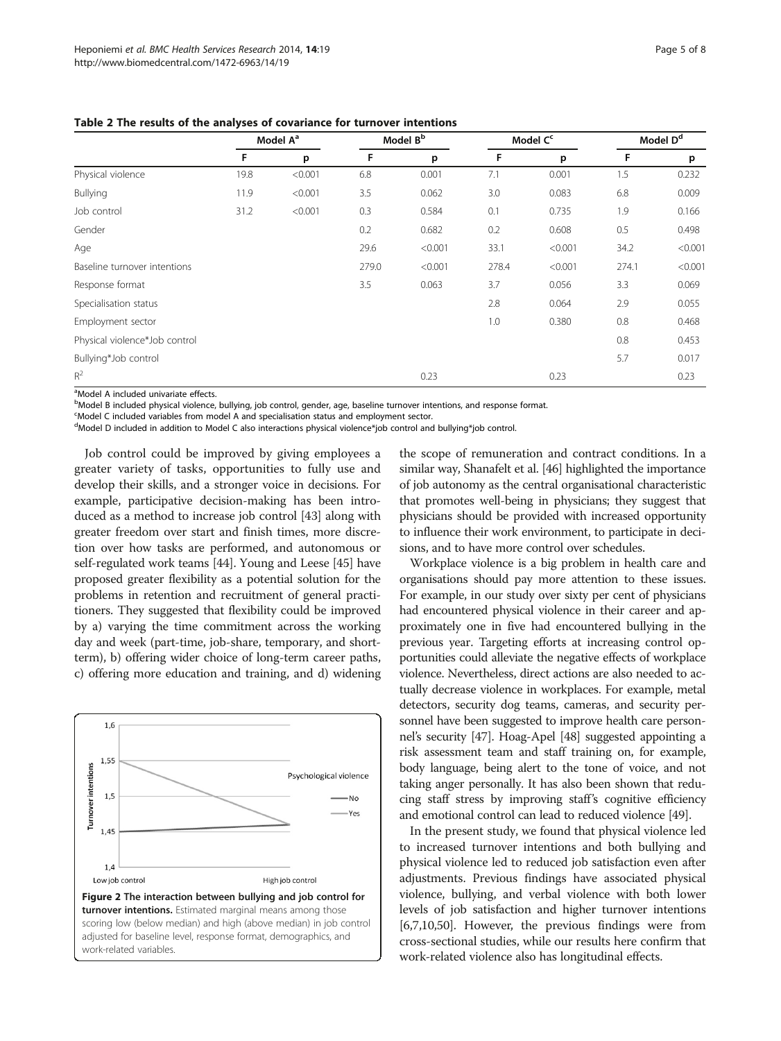<span id="page-4-0"></span>

|                               | Model A <sup>a</sup> |         | Model B <sup>b</sup> |         | Model C <sup>c</sup> |         | Model D <sup>d</sup> |         |
|-------------------------------|----------------------|---------|----------------------|---------|----------------------|---------|----------------------|---------|
|                               | F                    | p       | F                    | p       | F                    | p       | F                    | p       |
| Physical violence             | 19.8                 | < 0.001 | 6.8                  | 0.001   | 7.1                  | 0.001   | 1.5                  | 0.232   |
| Bullying                      | 11.9                 | < 0.001 | 3.5                  | 0.062   | 3.0                  | 0.083   | 6.8                  | 0.009   |
| Job control                   | 31.2                 | < 0.001 | 0.3                  | 0.584   | 0.1                  | 0.735   | 1.9                  | 0.166   |
| Gender                        |                      |         | 0.2                  | 0.682   | 0.2                  | 0.608   | 0.5                  | 0.498   |
| Age                           |                      |         | 29.6                 | < 0.001 | 33.1                 | < 0.001 | 34.2                 | < 0.001 |
| Baseline turnover intentions  |                      |         | 279.0                | < 0.001 | 278.4                | < 0.001 | 274.1                | < 0.001 |
| Response format               |                      |         | 3.5                  | 0.063   | 3.7                  | 0.056   | 3.3                  | 0.069   |
| Specialisation status         |                      |         |                      |         | 2.8                  | 0.064   | 2.9                  | 0.055   |
| Employment sector             |                      |         |                      |         | 1.0                  | 0.380   | 0.8                  | 0.468   |
| Physical violence*Job control |                      |         |                      |         |                      |         | 0.8                  | 0.453   |
| Bullying*Job control          |                      |         |                      |         |                      |         | 5.7                  | 0.017   |
| $R^2$                         |                      |         |                      | 0.23    |                      | 0.23    |                      | 0.23    |

<sup>a</sup>Model A included univariate effects.

<sup>b</sup>Model B included physical violence, bullying, job control, gender, age, baseline turnover intentions, and response format.

<sup>c</sup>Model C included variables from model A and specialisation status and employment sector.

d Model D included in addition to Model C also interactions physical violence\*job control and bullying\*job control.

Job control could be improved by giving employees a greater variety of tasks, opportunities to fully use and develop their skills, and a stronger voice in decisions. For example, participative decision-making has been introduced as a method to increase job control [[43](#page-7-0)] along with greater freedom over start and finish times, more discretion over how tasks are performed, and autonomous or self-regulated work teams [\[44\]](#page-7-0). Young and Leese [[45\]](#page-7-0) have proposed greater flexibility as a potential solution for the problems in retention and recruitment of general practitioners. They suggested that flexibility could be improved by a) varying the time commitment across the working day and week (part-time, job-share, temporary, and shortterm), b) offering wider choice of long-term career paths, c) offering more education and training, and d) widening



the scope of remuneration and contract conditions. In a similar way, Shanafelt et al. [[46\]](#page-7-0) highlighted the importance of job autonomy as the central organisational characteristic that promotes well-being in physicians; they suggest that physicians should be provided with increased opportunity to influence their work environment, to participate in decisions, and to have more control over schedules.

Workplace violence is a big problem in health care and organisations should pay more attention to these issues. For example, in our study over sixty per cent of physicians had encountered physical violence in their career and approximately one in five had encountered bullying in the previous year. Targeting efforts at increasing control opportunities could alleviate the negative effects of workplace violence. Nevertheless, direct actions are also needed to actually decrease violence in workplaces. For example, metal detectors, security dog teams, cameras, and security personnel have been suggested to improve health care personnel's security [\[47\]](#page-7-0). Hoag-Apel [\[48\]](#page-7-0) suggested appointing a risk assessment team and staff training on, for example, body language, being alert to the tone of voice, and not taking anger personally. It has also been shown that reducing staff stress by improving staff's cognitive efficiency and emotional control can lead to reduced violence [[49](#page-7-0)].

In the present study, we found that physical violence led to increased turnover intentions and both bullying and physical violence led to reduced job satisfaction even after adjustments. Previous findings have associated physical violence, bullying, and verbal violence with both lower levels of job satisfaction and higher turnover intentions [[6,7,10](#page-6-0)[,50\]](#page-7-0). However, the previous findings were from cross-sectional studies, while our results here confirm that work-related violence also has longitudinal effects.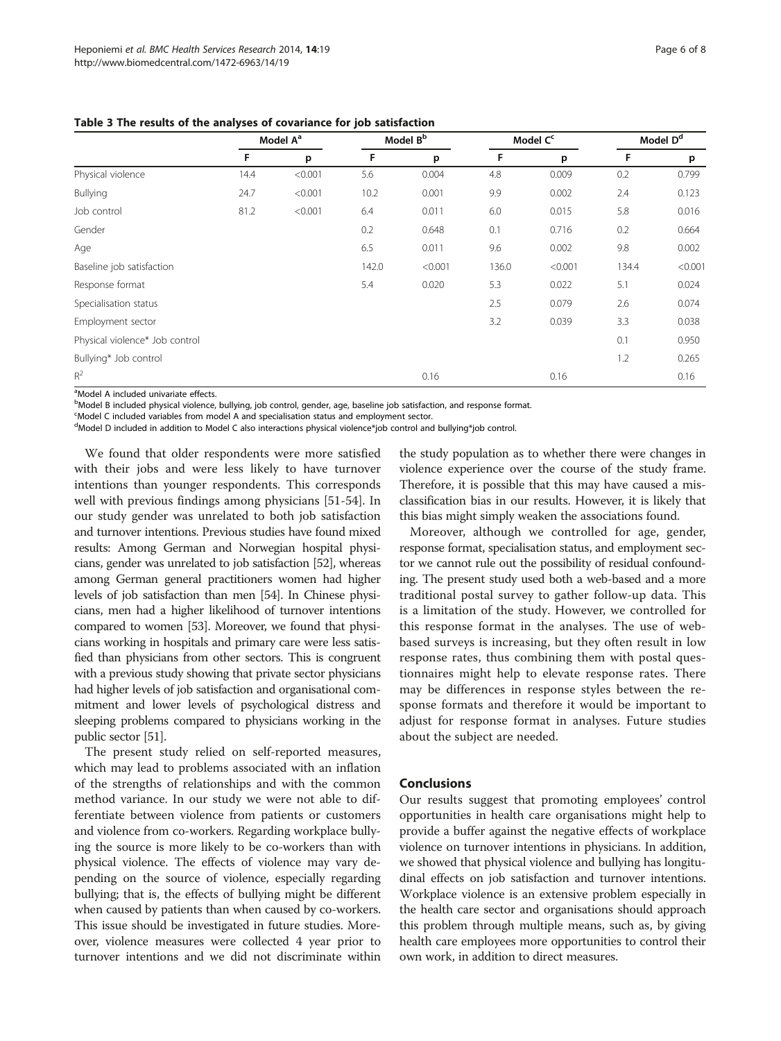<span id="page-5-0"></span>Table 3 The results of the analyses of covariance for job satisfaction

|                                | Model A <sup>a</sup> |         | Model B <sup>b</sup> |         | Model C <sup>c</sup> |         | Model D <sup>d</sup> |         |
|--------------------------------|----------------------|---------|----------------------|---------|----------------------|---------|----------------------|---------|
|                                | F                    | p       | F                    | p       | F                    | p       | F                    | p       |
| Physical violence              | 14.4                 | < 0.001 | 5.6                  | 0.004   | 4.8                  | 0.009   | 0.2                  | 0.799   |
| Bullying                       | 24.7                 | < 0.001 | 10.2                 | 0.001   | 9.9                  | 0.002   | 2.4                  | 0.123   |
| Job control                    | 81.2                 | < 0.001 | 6.4                  | 0.011   | 6.0                  | 0.015   | 5.8                  | 0.016   |
| Gender                         |                      |         | 0.2                  | 0.648   | 0.1                  | 0.716   | 0.2                  | 0.664   |
| Age                            |                      |         | 6.5                  | 0.011   | 9.6                  | 0.002   | 9.8                  | 0.002   |
| Baseline job satisfaction      |                      |         | 142.0                | < 0.001 | 136.0                | < 0.001 | 134.4                | < 0.001 |
| Response format                |                      |         | 5.4                  | 0.020   | 5.3                  | 0.022   | 5.1                  | 0.024   |
| Specialisation status          |                      |         |                      |         | 2.5                  | 0.079   | 2.6                  | 0.074   |
| Employment sector              |                      |         |                      |         | 3.2                  | 0.039   | 3.3                  | 0.038   |
| Physical violence* Job control |                      |         |                      |         |                      |         | 0.1                  | 0.950   |
| Bullying* Job control          |                      |         |                      |         |                      |         | 1.2                  | 0.265   |
| $R^2$                          |                      |         |                      | 0.16    |                      | 0.16    |                      | 0.16    |

<sup>a</sup>Model A included univariate effects.

<sup>b</sup>Model B included physical violence, bullying, job control, gender, age, baseline job satisfaction, and response format.

<sup>c</sup>Model C included variables from model A and specialisation status and employment sector.

d Model D included in addition to Model C also interactions physical violence\*job control and bullying\*job control.

We found that older respondents were more satisfied with their jobs and were less likely to have turnover intentions than younger respondents. This corresponds well with previous findings among physicians [\[51-54](#page-7-0)]. In our study gender was unrelated to both job satisfaction and turnover intentions. Previous studies have found mixed results: Among German and Norwegian hospital physicians, gender was unrelated to job satisfaction [[52](#page-7-0)], whereas among German general practitioners women had higher levels of job satisfaction than men [\[54\]](#page-7-0). In Chinese physicians, men had a higher likelihood of turnover intentions compared to women [\[53\]](#page-7-0). Moreover, we found that physicians working in hospitals and primary care were less satisfied than physicians from other sectors. This is congruent with a previous study showing that private sector physicians had higher levels of job satisfaction and organisational commitment and lower levels of psychological distress and sleeping problems compared to physicians working in the public sector [\[51\]](#page-7-0).

The present study relied on self-reported measures, which may lead to problems associated with an inflation of the strengths of relationships and with the common method variance. In our study we were not able to differentiate between violence from patients or customers and violence from co-workers. Regarding workplace bullying the source is more likely to be co-workers than with physical violence. The effects of violence may vary depending on the source of violence, especially regarding bullying; that is, the effects of bullying might be different when caused by patients than when caused by co-workers. This issue should be investigated in future studies. Moreover, violence measures were collected 4 year prior to turnover intentions and we did not discriminate within the study population as to whether there were changes in violence experience over the course of the study frame. Therefore, it is possible that this may have caused a misclassification bias in our results. However, it is likely that this bias might simply weaken the associations found.

Moreover, although we controlled for age, gender, response format, specialisation status, and employment sector we cannot rule out the possibility of residual confounding. The present study used both a web-based and a more traditional postal survey to gather follow-up data. This is a limitation of the study. However, we controlled for this response format in the analyses. The use of webbased surveys is increasing, but they often result in low response rates, thus combining them with postal questionnaires might help to elevate response rates. There may be differences in response styles between the response formats and therefore it would be important to adjust for response format in analyses. Future studies about the subject are needed.

#### **Conclusions**

Our results suggest that promoting employees' control opportunities in health care organisations might help to provide a buffer against the negative effects of workplace violence on turnover intentions in physicians. In addition, we showed that physical violence and bullying has longitudinal effects on job satisfaction and turnover intentions. Workplace violence is an extensive problem especially in the health care sector and organisations should approach this problem through multiple means, such as, by giving health care employees more opportunities to control their own work, in addition to direct measures.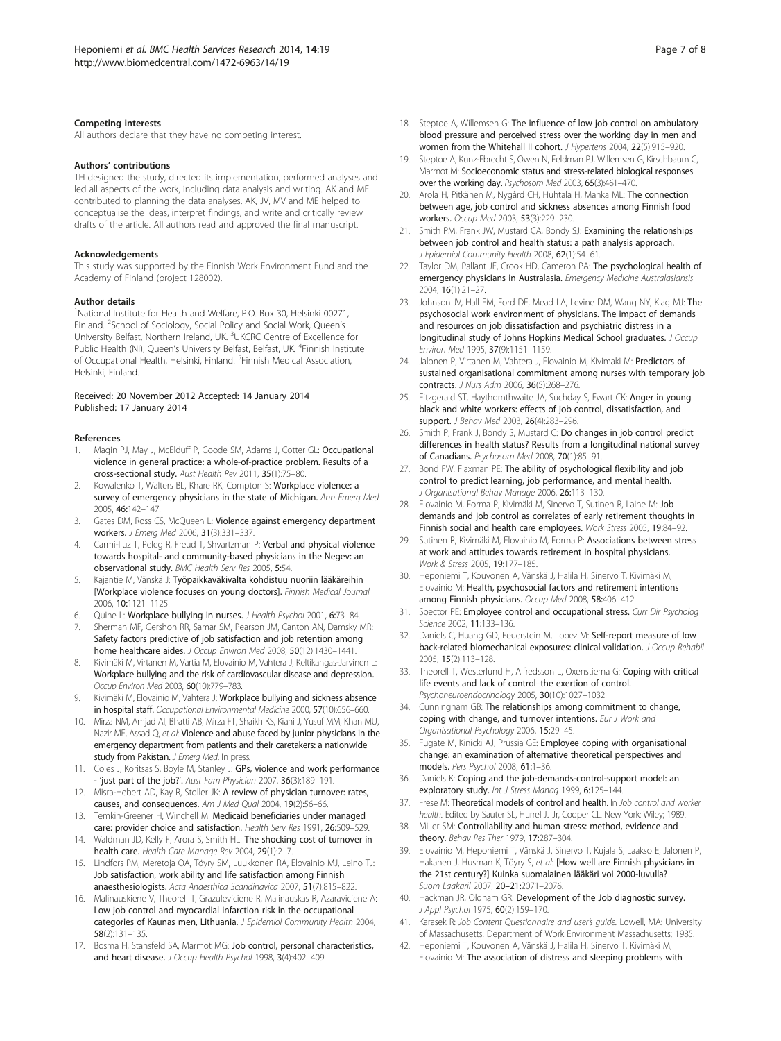#### <span id="page-6-0"></span>Competing interests

All authors declare that they have no competing interest.

#### Authors' contributions

TH designed the study, directed its implementation, performed analyses and led all aspects of the work, including data analysis and writing. AK and ME contributed to planning the data analyses. AK, JV, MV and ME helped to conceptualise the ideas, interpret findings, and write and critically review drafts of the article. All authors read and approved the final manuscript.

#### Acknowledgements

This study was supported by the Finnish Work Environment Fund and the Academy of Finland (project 128002).

#### Author details

<sup>1</sup>National Institute for Health and Welfare, P.O. Box 30, Helsinki 00271, Finland. <sup>2</sup>School of Sociology, Social Policy and Social Work, Queen's University Belfast, Northern Ireland, UK. <sup>3</sup>UKCRC Centre of Excellence for Public Health (NI), Queen's University Belfast, Belfast, UK. <sup>4</sup>Finnish Institute of Occupational Health, Helsinki, Finland. <sup>5</sup>Finnish Medical Association, Helsinki, Finland.

#### Received: 20 November 2012 Accepted: 14 January 2014 Published: 17 January 2014

#### References

- Magin PJ, May J, McElduff P, Goode SM, Adams J, Cotter GL: Occupational violence in general practice: a whole-of-practice problem. Results of a cross-sectional study. Aust Health Rev 2011, 35(1):75–80.
- 2. Kowalenko T, Walters BL, Khare RK, Compton S: Workplace violence: a survey of emergency physicians in the state of Michigan. Ann Emerg Med 2005, 46:142–147.
- Gates DM, Ross CS, McQueen L: Violence against emergency department workers. J Emerg Med 2006, 31(3):331–337.
- Carmi-Iluz T, Peleg R, Freud T, Shvartzman P: Verbal and physical violence towards hospital- and community-based physicians in the Negev: an observational study. BMC Health Serv Res 2005, 5:54.
- Kajantie M, Vänskä J: Työpaikkaväkivalta kohdistuu nuoriin lääkäreihin [Workplace violence focuses on young doctors]. Finnish Medical Journal 2006, 10:1121–1125.
- Quine L: Workplace bullying in nurses. J Health Psychol 2001, 6:73-84.
- 7. Sherman MF, Gershon RR, Samar SM, Pearson JM, Canton AN, Damsky MR: Safety factors predictive of job satisfaction and job retention among home healthcare aides. J Occup Environ Med 2008, 50(12):1430-1441.
- 8. Kivimäki M, Virtanen M, Vartia M, Elovainio M, Vahtera J, Keltikangas-Jarvinen L: Workplace bullying and the risk of cardiovascular disease and depression. Occup Environ Med 2003, 60(10):779–783.
- Kivimäki M, Elovainio M, Vahtera J: Workplace bullying and sickness absence in hospital staff. Occupational Environmental Medicine 2000, 57(10):656–660.
- 10. Mirza NM, Amjad AI, Bhatti AB, Mirza FT, Shaikh KS, Kiani J, Yusuf MM, Khan MU, Nazir ME, Assad Q, et al: Violence and abuse faced by junior physicians in the emergency department from patients and their caretakers: a nationwide study from Pakistan. J Emerg Med. In press.
- 11. Coles J, Koritsas S, Boyle M, Stanley J: GPs, violence and work performance - 'just part of the job?'. Aust Fam Physician 2007, 36(3):189-191.
- 12. Misra-Hebert AD, Kay R, Stoller JK: A review of physician turnover: rates, causes, and consequences. Am J Med Qual 2004, 19(2):56–66.
- 13. Temkin-Greener H, Winchell M: Medicaid beneficiaries under managed care: provider choice and satisfaction. Health Serv Res 1991, 26:509–529.
- 14. Waldman JD, Kelly F, Arora S, Smith HL: The shocking cost of turnover in health care. Health Care Manage Rev 2004, 29(1):2–7.
- 15. Lindfors PM, Meretoja OA, Töyry SM, Luukkonen RA, Elovainio MJ, Leino TJ: Job satisfaction, work ability and life satisfaction among Finnish anaesthesiologists. Acta Anaesthica Scandinavica 2007, 51(7):815–822.
- 16. Malinauskiene V, Theorell T, Grazuleviciene R, Malinauskas R, Azaraviciene A: Low job control and myocardial infarction risk in the occupational categories of Kaunas men, Lithuania. J Epidemiol Community Health 2004, 58(2):131–135.
- 17. Bosma H, Stansfeld SA, Marmot MG: Job control, personal characteristics, and heart disease. J Occup Health Psychol 1998, 3(4):402-409.
- 18. Steptoe A, Willemsen G: The influence of low job control on ambulatory blood pressure and perceived stress over the working day in men and women from the Whitehall II cohort. J Hypertens 2004, 22(5):915-920.
- 19. Steptoe A, Kunz-Ebrecht S, Owen N, Feldman PJ, Willemsen G, Kirschbaum C, Marmot M: Socioeconomic status and stress-related biological responses over the working day. Psychosom Med 2003, 65(3):461–470.
- 20. Arola H, Pitkänen M, Nygård CH, Huhtala H, Manka ML: The connection between age, job control and sickness absences among Finnish food workers. Occup Med 2003, 53(3):229–230.
- 21. Smith PM, Frank JW, Mustard CA, Bondy SJ: Examining the relationships between job control and health status: a path analysis approach. J Epidemiol Community Health 2008, 62(1):54–61.
- 22. Taylor DM, Pallant JF, Crook HD, Cameron PA: The psychological health of emergency physicians in Australasia. Emergency Medicine Australasiansis 2004, 16(1):21–27.
- 23. Johnson JV, Hall EM, Ford DE, Mead LA, Levine DM, Wang NY, Klag MJ: The psychosocial work environment of physicians. The impact of demands and resources on job dissatisfaction and psychiatric distress in a longitudinal study of Johns Hopkins Medical School graduates. J Occup Environ Med 1995, 37(9):1151–1159.
- 24. Jalonen P, Virtanen M, Vahtera J, Elovainio M, Kivimaki M: Predictors of sustained organisational commitment among nurses with temporary job contracts. J Nurs Adm 2006, 36(5):268–276.
- 25. Fitzgerald ST, Haythornthwaite JA, Suchday S, Ewart CK: Anger in young black and white workers: effects of job control, dissatisfaction, and support. *J Behav Med* 2003, 26(4):283-296.
- 26. Smith P, Frank J, Bondy S, Mustard C: Do changes in job control predict differences in health status? Results from a longitudinal national survey of Canadians. Psychosom Med 2008, 70(1):85–91.
- 27. Bond FW, Flaxman PE: The ability of psychological flexibility and job control to predict learning, job performance, and mental health. J Organisational Behav Manage 2006, 26:113–130.
- 28. Elovainio M, Forma P, Kivimäki M, Sinervo T, Sutinen R, Laine M: Job demands and job control as correlates of early retirement thoughts in Finnish social and health care employees. Work Stress 2005, 19:84–92.
- Sutinen R, Kivimäki M, Elovainio M, Forma P: Associations between stress at work and attitudes towards retirement in hospital physicians. Work & Stress 2005, 19:177-185.
- 30. Heponiemi T, Kouvonen A, Vänskä J, Halila H, Sinervo T, Kivimäki M, Elovainio M: Health, psychosocial factors and retirement intentions among Finnish physicians. Occup Med 2008, 58:406-412.
- 31. Spector PE: Employee control and occupational stress. Curr Dir Psycholog Science 2002, 11:133–136.
- 32. Daniels C, Huang GD, Feuerstein M, Lopez M: Self-report measure of low back-related biomechanical exposures: clinical validation. J Occup Rehabil 2005, 15(2):113–128.
- 33. Theorell T, Westerlund H, Alfredsson L, Oxenstierna G: Coping with critical life events and lack of control–the exertion of control. Psychoneuroendocrinology 2005, 30(10):1027–1032.
- 34. Cunningham GB: The relationships among commitment to change, coping with change, and turnover intentions. Eur J Work and Organisational Psychology 2006, 15:29–45.
- 35. Fugate M, Kinicki AJ, Prussia GE: Employee coping with organisational change: an examination of alternative theoretical perspectives and models. Pers Psychol 2008, 61:1–36.
- 36. Daniels K: Coping and the job-demands-control-support model: an exploratory study. Int J Stress Manag 1999, 6:125-144.
- 37. Frese M: Theoretical models of control and health. In Job control and worker health. Edited by Sauter SL, Hurrel JJ Jr, Cooper CL. New York: Wiley; 1989.
- 38. Miller SM: Controllability and human stress: method, evidence and theory. Behav Res Ther 1979, 17:287–304.
- 39. Elovainio M, Heponiemi T, Vänskä J, Sinervo T, Kujala S, Laakso E, Jalonen P, Hakanen J, Husman K, Töyry S, et al: [How well are Finnish physicians in the 21st century?] Kuinka suomalainen lääkäri voi 2000-luvulla? Suom Laakaril 2007, 20–21:2071–2076.
- 40. Hackman JR, Oldham GR: Development of the Job diagnostic survey. J Appl Psychol 1975, 60(2):159-170.
- 41. Karasek R: Job Content Questionnaire and user's guide. Lowell, MA: University of Massachusetts, Department of Work Environment Massachusetts; 1985.
- 42. Heponiemi T, Kouvonen A, Vänskä J, Halila H, Sinervo T, Kivimäki M, Elovainio M: The association of distress and sleeping problems with